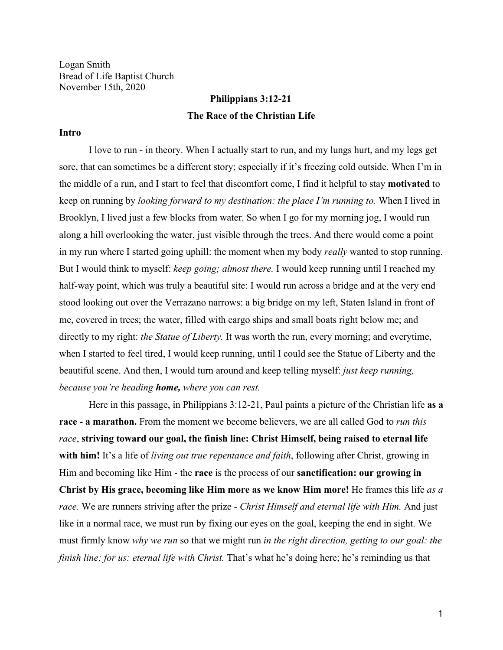Logan Smith Bread of Life Baptist Church November 15th, 2020

# **Philippians 3:12-21 The Race of the Christian Life**

#### **Intro**

I love to run - in theory. When I actually start to run, and my lungs hurt, and my legs get sore, that can sometimes be a different story; especially if it's freezing cold outside. When I'm in the middle of a run, and I start to feel that discomfort come, I find it helpful to stay **motivated** to keep on running by *looking forward to my destination: the place I'm running to.* When I lived in Brooklyn, I lived just a few blocks from water. So when I go for my morning jog, I would run along a hill overlooking the water, just visible through the trees. And there would come a point in my run where I started going uphill: the moment when my body *really* wanted to stop running. But I would think to myself: *keep going; almost there.* I would keep running until I reached my half-way point, which was truly a beautiful site: I would run across a bridge and at the very end stood looking out over the Verrazano narrows: a big bridge on my left, Staten Island in front of me, covered in trees; the water, filled with cargo ships and small boats right below me; and directly to my right: *the Statue of Liberty.* It was worth the run, every morning; and everytime, when I started to feel tired, I would keep running, until I could see the Statue of Liberty and the beautiful scene. And then, I would turn around and keep telling myself: *just keep running, because you're heading home, where you can rest.*

Here in this passage, in Philippians 3:12-21, Paul paints a picture of the Christian life **as a race - a marathon.** From the moment we become believers, we are all called God to *run this race*, **striving toward our goal, the finish line: Christ Himself, being raised to eternal life with him!** It's a life of *living out true repentance and faith*, following after Christ, growing in Him and becoming like Him - the **race** is the process of our **sanctification: our growing in Christ by His grace, becoming like Him more as we know Him more!** He frames this life *as a race.* We are runners striving after the prize - *Christ Himself and eternal life with Him.* And just like in a normal race, we must run by fixing our eyes on the goal, keeping the end in sight. We must firmly know *why we run* so that we might run *in the right direction, getting to our goal: the finish line; for us: eternal life with Christ.* That's what he's doing here; he's reminding us that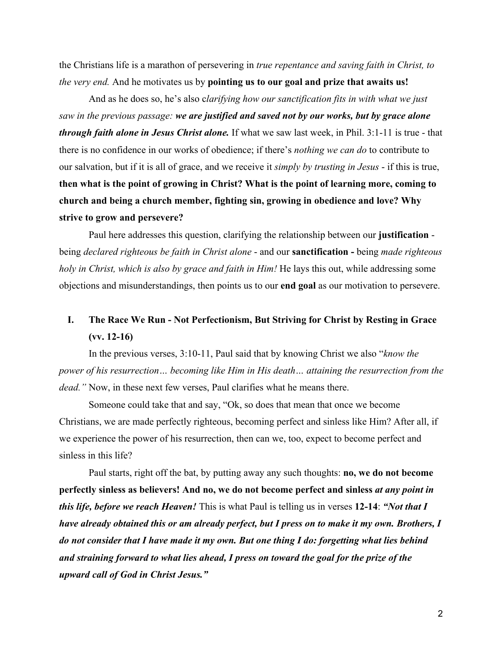the Christians life is a marathon of persevering in *true repentance and saving faith in Christ, to the very end.* And he motivates us by **pointing us to our goal and prize that awaits us!**

And as he does so, he's also c*larifying how our sanctification fits in with what we just saw in the previous passage: we are justified and saved not by our works, but by grace alone through faith alone in Jesus Christ alone.* If what we saw last week, in Phil. 3:1-11 is true - that there is no confidence in our works of obedience; if there's *nothing we can do* to contribute to our salvation, but if it is all of grace, and we receive it *simply by trusting in Jesus* - if this is true, **then what is the point of growing in Christ? What is the point of learning more, coming to church and being a church member, fighting sin, growing in obedience and love? Why strive to grow and persevere?**

Paul here addresses this question, clarifying the relationship between our **justification**  being *declared righteous be faith in Christ alone* - and our **sanctification -** being *made righteous holy in Christ, which is also by grace and faith in Him!* He lays this out, while addressing some objections and misunderstandings, then points us to our **end goal** as our motivation to persevere.

## **I. The Race We Run - Not Perfectionism, But Striving for Christ by Resting in Grace (vv. 12-16)**

In the previous verses, 3:10-11, Paul said that by knowing Christ we also "*know the power of his resurrection… becoming like Him in His death… attaining the resurrection from the dead."* Now, in these next few verses, Paul clarifies what he means there.

Someone could take that and say, "Ok, so does that mean that once we become Christians, we are made perfectly righteous, becoming perfect and sinless like Him? After all, if we experience the power of his resurrection, then can we, too, expect to become perfect and sinless in this life?

Paul starts, right off the bat, by putting away any such thoughts: **no, we do not become perfectly sinless as believers! And no, we do not become perfect and sinless** *at any point in this life, before we reach Heaven!* This is what Paul is telling us in verses **12-14**: *"Not that I have already obtained this or am already perfect, but I press on to make it my own. Brothers, I do not consider that I have made it my own. But one thing I do: forgetting what lies behind and straining forward to what lies ahead, I press on toward the goal for the prize of the upward call of God in Christ Jesus."*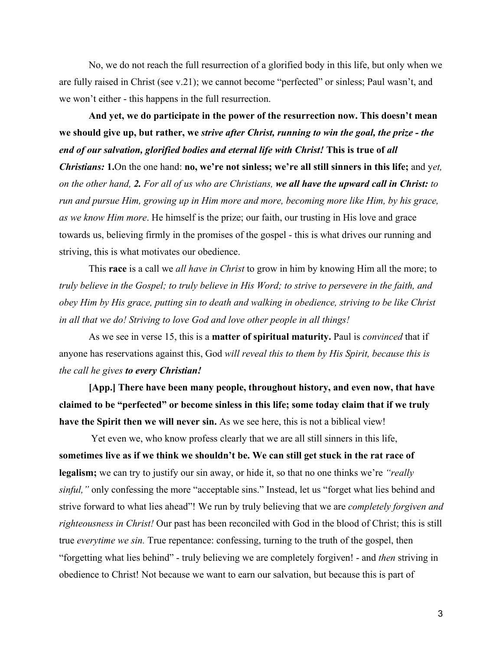No, we do not reach the full resurrection of a glorified body in this life, but only when we are fully raised in Christ (see v.21); we cannot become "perfected" or sinless; Paul wasn't, and we won't either - this happens in the full resurrection.

**And yet, we do participate in the power of the resurrection now. This doesn't mean we should give up, but rather, we** *strive after Christ, running to win the goal, the prize - the end of our salvation, glorified bodies and eternal life with Christ!* **This is true of** *all Christians:* **1.**On the one hand: **no, we're not sinless; we're all still sinners in this life;** and y*et, on the other hand, 2. For all of us who are Christians, we all have the upward call in Christ: to run and pursue Him, growing up in Him more and more, becoming more like Him, by his grace, as we know Him more*. He himself is the prize; our faith, our trusting in His love and grace towards us, believing firmly in the promises of the gospel - this is what drives our running and striving, this is what motivates our obedience.

This **race** is a call we *all have in Christ* to grow in him by knowing Him all the more; to *truly believe in the Gospel; to truly believe in His Word; to strive to persevere in the faith, and obey Him by His grace, putting sin to death and walking in obedience, striving to be like Christ in all that we do! Striving to love God and love other people in all things!*

As we see in verse 15, this is a **matter of spiritual maturity.** Paul is *convinced* that if anyone has reservations against this, God *will reveal this to them by His Spirit, because this is the call he gives to every Christian!*

**[App.] There have been many people, throughout history, and even now, that have claimed to be "perfected" or become sinless in this life; some today claim that if we truly have the Spirit then we will never sin.** As we see here, this is not a biblical view!

Yet even we, who know profess clearly that we are all still sinners in this life, **sometimes live as if we think we shouldn't be. We can still get stuck in the rat race of legalism;** we can try to justify our sin away, or hide it, so that no one thinks we're *"really sinful,"* only confessing the more "acceptable sins." Instead, let us "forget what lies behind and strive forward to what lies ahead"! We run by truly believing that we are *completely forgiven and righteousness in Christ!* Our past has been reconciled with God in the blood of Christ; this is still true *everytime we sin.* True repentance: confessing, turning to the truth of the gospel, then "forgetting what lies behind" - truly believing we are completely forgiven! - and *then* striving in obedience to Christ! Not because we want to earn our salvation, but because this is part of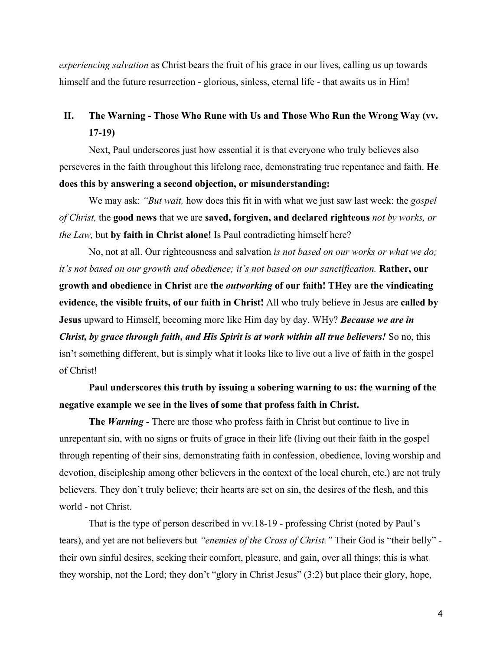*experiencing salvation* as Christ bears the fruit of his grace in our lives, calling us up towards himself and the future resurrection - glorious, sinless, eternal life - that awaits us in Him!

## **II. The Warning - Those Who Rune with Us and Those Who Run the Wrong Way (vv. 17-19)**

Next, Paul underscores just how essential it is that everyone who truly believes also perseveres in the faith throughout this lifelong race, demonstrating true repentance and faith. **He does this by answering a second objection, or misunderstanding:**

We may ask: *"But wait,* how does this fit in with what we just saw last week: the *gospel of Christ,* the **good news** that we are **saved, forgiven, and declared righteous** *not by works, or the Law,* but **by faith in Christ alone!** Is Paul contradicting himself here?

No, not at all. Our righteousness and salvation *is not based on our works or what we do; it's not based on our growth and obedience; it's not based on our sanctification.* **Rather, our growth and obedience in Christ are the** *outworking* **of our faith! THey are the vindicating evidence, the visible fruits, of our faith in Christ!** All who truly believe in Jesus are **called by Jesus** upward to Himself, becoming more like Him day by day. WHy? *Because we are in Christ, by grace through faith, and His Spirit is at work within all true believers!* So no, this isn't something different, but is simply what it looks like to live out a live of faith in the gospel of Christ!

**Paul underscores this truth by issuing a sobering warning to us: the warning of the negative example we see in the lives of some that profess faith in Christ.**

**The** *Warning -* There are those who profess faith in Christ but continue to live in unrepentant sin, with no signs or fruits of grace in their life (living out their faith in the gospel through repenting of their sins, demonstrating faith in confession, obedience, loving worship and devotion, discipleship among other believers in the context of the local church, etc.) are not truly believers. They don't truly believe; their hearts are set on sin, the desires of the flesh, and this world - not Christ.

That is the type of person described in vv.18-19 - professing Christ (noted by Paul's tears), and yet are not believers but *"enemies of the Cross of Christ."* Their God is "their belly" their own sinful desires, seeking their comfort, pleasure, and gain, over all things; this is what they worship, not the Lord; they don't "glory in Christ Jesus" (3:2) but place their glory, hope,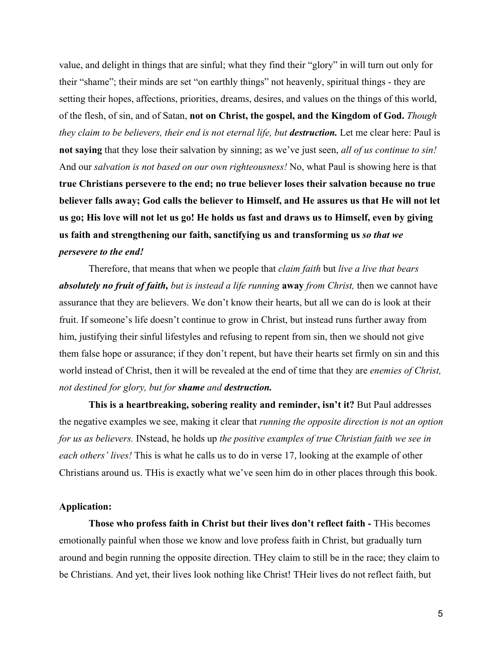value, and delight in things that are sinful; what they find their "glory" in will turn out only for their "shame"; their minds are set "on earthly things" not heavenly, spiritual things - they are setting their hopes, affections, priorities, dreams, desires, and values on the things of this world, of the flesh, of sin, and of Satan, **not on Christ, the gospel, and the Kingdom of God.** *Though they claim to be believers, their end is not eternal life, but destruction.* Let me clear here: Paul is **not saying** that they lose their salvation by sinning; as we've just seen, *all of us continue to sin!* And our *salvation is not based on our own righteousness!* No, what Paul is showing here is that **true Christians persevere to the end; no true believer loses their salvation because no true believer falls away; God calls the believer to Himself, and He assures us that He will not let us go; His love will not let us go! He holds us fast and draws us to Himself, even by giving us faith and strengthening our faith, sanctifying us and transforming us** *so that we persevere to the end!*

Therefore, that means that when we people that *claim faith* but *live a live that bears absolutely no fruit of faith, but is instead a life running* **away** *from Christ,* then we cannot have assurance that they are believers. We don't know their hearts, but all we can do is look at their fruit. If someone's life doesn't continue to grow in Christ, but instead runs further away from him, justifying their sinful lifestyles and refusing to repent from sin, then we should not give them false hope or assurance; if they don't repent, but have their hearts set firmly on sin and this world instead of Christ, then it will be revealed at the end of time that they are *enemies of Christ, not destined for glory, but for shame and destruction.*

**This is a heartbreaking, sobering reality and reminder, isn't it?** But Paul addresses the negative examples we see, making it clear that *running the opposite direction is not an option for us as believers.* INstead, he holds up *the positive examples of true Christian faith we see in each others' lives!* This is what he calls us to do in verse 17, looking at the example of other Christians around us. THis is exactly what we've seen him do in other places through this book.

### **Application:**

**Those who profess faith in Christ but their lives don't reflect faith -** THis becomes emotionally painful when those we know and love profess faith in Christ, but gradually turn around and begin running the opposite direction. THey claim to still be in the race; they claim to be Christians. And yet, their lives look nothing like Christ! THeir lives do not reflect faith, but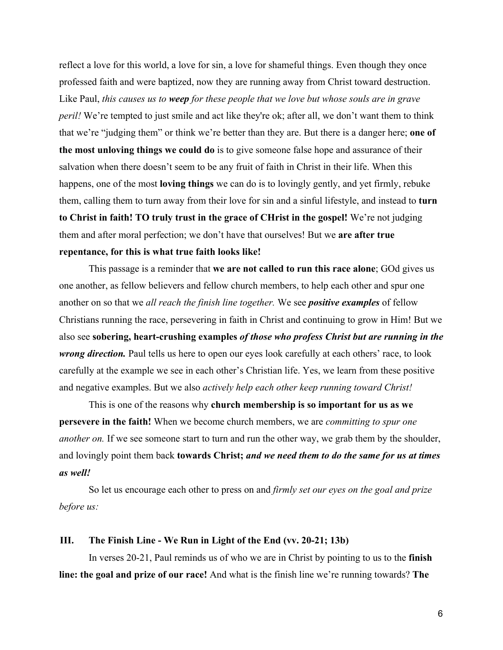reflect a love for this world, a love for sin, a love for shameful things. Even though they once professed faith and were baptized, now they are running away from Christ toward destruction. Like Paul, *this causes us to weep for these people that we love but whose souls are in grave peril!* We're tempted to just smile and act like they're ok; after all, we don't want them to think that we're "judging them" or think we're better than they are. But there is a danger here; **one of the most unloving things we could do** is to give someone false hope and assurance of their salvation when there doesn't seem to be any fruit of faith in Christ in their life. When this happens, one of the most **loving things** we can do is to lovingly gently, and yet firmly, rebuke them, calling them to turn away from their love for sin and a sinful lifestyle, and instead to **turn to Christ in faith! TO truly trust in the grace of CHrist in the gospel!** We're not judging them and after moral perfection; we don't have that ourselves! But we **are after true repentance, for this is what true faith looks like!**

This passage is a reminder that **we are not called to run this race alone**; GOd gives us one another, as fellow believers and fellow church members, to help each other and spur one another on so that we *all reach the finish line together.* We see *positive examples* of fellow Christians running the race, persevering in faith in Christ and continuing to grow in Him! But we also see **sobering, heart-crushing examples** *of those who profess Christ but are running in the wrong direction*. Paul tells us here to open our eyes look carefully at each others' race, to look carefully at the example we see in each other's Christian life. Yes, we learn from these positive and negative examples. But we also *actively help each other keep running toward Christ!*

This is one of the reasons why **church membership is so important for us as we persevere in the faith!** When we become church members, we are *committing to spur one another on.* If we see someone start to turn and run the other way, we grab them by the shoulder, and lovingly point them back **towards Christ;** *and we need them to do the same for us at times as well!*

So let us encourage each other to press on and *firmly set our eyes on the goal and prize before us:*

#### **III. The Finish Line - We Run in Light of the End (vv. 20-21; 13b)**

In verses 20-21, Paul reminds us of who we are in Christ by pointing to us to the **finish line: the goal and prize of our race!** And what is the finish line we're running towards? **The**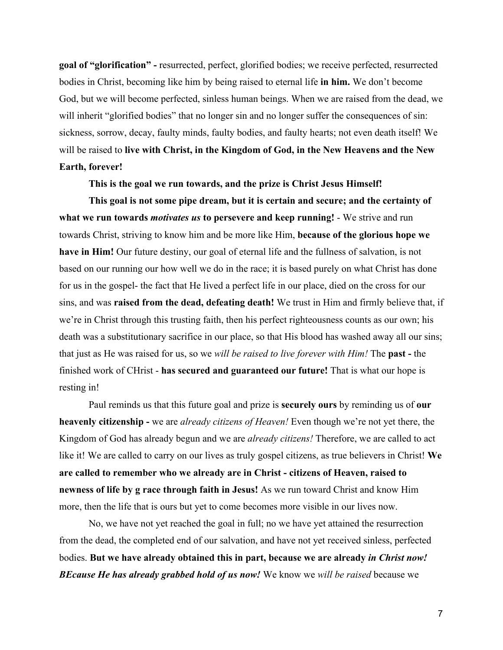**goal of "glorification" -** resurrected, perfect, glorified bodies; we receive perfected, resurrected bodies in Christ, becoming like him by being raised to eternal life **in him.** We don't become God, but we will become perfected, sinless human beings. When we are raised from the dead, we will inherit "glorified bodies" that no longer sin and no longer suffer the consequences of sin: sickness, sorrow, decay, faulty minds, faulty bodies, and faulty hearts; not even death itself! We will be raised to **live with Christ, in the Kingdom of God, in the New Heavens and the New Earth, forever!**

**This is the goal we run towards, and the prize is Christ Jesus Himself!**

**This goal is not some pipe dream, but it is certain and secure; and the certainty of what we run towards** *motivates us* **to persevere and keep running!** - We strive and run towards Christ, striving to know him and be more like Him, **because of the glorious hope we have in Him!** Our future destiny, our goal of eternal life and the fullness of salvation, is not based on our running our how well we do in the race; it is based purely on what Christ has done for us in the gospel- the fact that He lived a perfect life in our place, died on the cross for our sins, and was **raised from the dead, defeating death!** We trust in Him and firmly believe that, if we're in Christ through this trusting faith, then his perfect righteousness counts as our own; his death was a substitutionary sacrifice in our place, so that His blood has washed away all our sins; that just as He was raised for us, so we *will be raised to live forever with Him!* The **past -** the finished work of CHrist - **has secured and guaranteed our future!** That is what our hope is resting in!

Paul reminds us that this future goal and prize is **securely ours** by reminding us of **our heavenly citizenship -** we are *already citizens of Heaven!* Even though we're not yet there, the Kingdom of God has already begun and we are *already citizens!* Therefore, we are called to act like it! We are called to carry on our lives as truly gospel citizens, as true believers in Christ! **We are called to remember who we already are in Christ - citizens of Heaven, raised to newness of life by g race through faith in Jesus!** As we run toward Christ and know Him more, then the life that is ours but yet to come becomes more visible in our lives now.

No, we have not yet reached the goal in full; no we have yet attained the resurrection from the dead, the completed end of our salvation, and have not yet received sinless, perfected bodies. **But we have already obtained this in part, because we are already** *in Christ now! BEcause He has already grabbed hold of us now!* We know we *will be raised* because we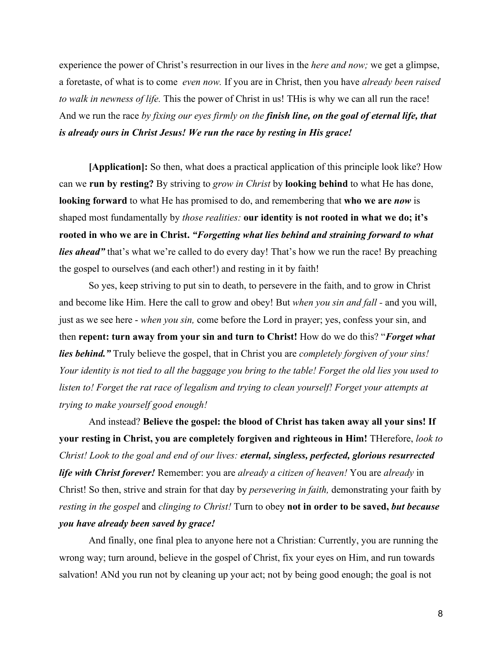experience the power of Christ's resurrection in our lives in the *here and now;* we get a glimpse, a foretaste, of what is to come *even now.* If you are in Christ, then you have *already been raised to walk in newness of life.* This the power of Christ in us! THis is why we can all run the race! And we run the race *by fixing our eyes firmly on the finish line, on the goal of eternal life, that is already ours in Christ Jesus! We run the race by resting in His grace!*

**[Application]:** So then, what does a practical application of this principle look like? How can we **run by resting?** By striving to *grow in Christ* by **looking behind** to what He has done, **looking forward** to what He has promised to do, and remembering that **who we are** *now* is shaped most fundamentally by *those realities:* **our identity is not rooted in what we do; it's rooted in who we are in Christ.** *"Forgetting what lies behind and straining forward to what lies ahead*" that's what we're called to do every day! That's how we run the race! By preaching the gospel to ourselves (and each other!) and resting in it by faith!

So yes, keep striving to put sin to death, to persevere in the faith, and to grow in Christ and become like Him. Here the call to grow and obey! But *when you sin and fall -* and you will, just as we see here - *when you sin,* come before the Lord in prayer; yes, confess your sin, and then **repent: turn away from your sin and turn to Christ!** How do we do this? "*Forget what lies behind."* Truly believe the gospel, that in Christ you are *completely forgiven of your sins! Your identity is not tied to all the baggage you bring to the table! Forget the old lies you used to listen to! Forget the rat race of legalism and trying to clean yourself! Forget your attempts at trying to make yourself good enough!*

And instead? **Believe the gospel: the blood of Christ has taken away all your sins! If your resting in Christ, you are completely forgiven and righteous in Him!** THerefore, *look to Christ! Look to the goal and end of our lives: eternal, singless, perfected, glorious resurrected life with Christ forever!* Remember: you are *already a citizen of heaven!* You are *already* in Christ! So then, strive and strain for that day by *persevering in faith,* demonstrating your faith by *resting in the gospel* and *clinging to Christ!* Turn to obey **not in order to be saved,** *but because you have already been saved by grace!*

And finally, one final plea to anyone here not a Christian: Currently, you are running the wrong way; turn around, believe in the gospel of Christ, fix your eyes on Him, and run towards salvation! ANd you run not by cleaning up your act; not by being good enough; the goal is not